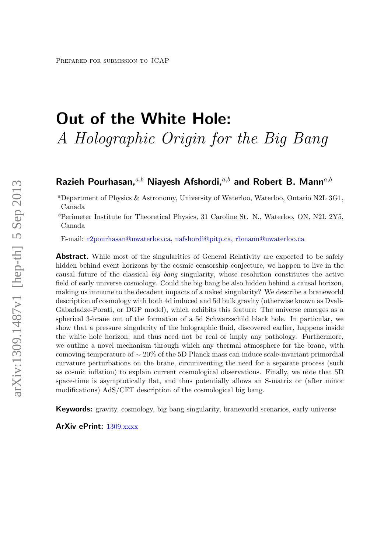# Out of the White Hole: A Holographic Origin for the Big Bang

# Razieh Pourhasan, $a,b$  Niayesh Afshordi, $a,b$  and Robert B. Mann $a,b$

<sup>a</sup>Department of Physics & Astronomy, University of Waterloo, Waterloo, Ontario N2L 3G1, Canada

<sup>b</sup>Perimeter Institute for Theoretical Physics, 31 Caroline St. N., Waterloo, ON, N2L 2Y5, Canada

E-mail: [r2pourhasan@uwaterloo.ca,](mailto:r2pourhasan@uwaterloo.ca) [nafshordi@pitp.ca,](mailto:nafshordi@pitp.ca) [rbmann@uwaterloo.ca](mailto:rbmann@uwaterloo.ca)

Abstract. While most of the singularities of General Relativity are expected to be safely hidden behind event horizons by the cosmic censorship conjecture, we happen to live in the causal future of the classical big bang singularity, whose resolution constitutes the active field of early universe cosmology. Could the big bang be also hidden behind a causal horizon, making us immune to the decadent impacts of a naked singularity? We describe a braneworld description of cosmology with both 4d induced and 5d bulk gravity (otherwise known as Dvali-Gabadadze-Porati, or DGP model), which exhibits this feature: The universe emerges as a spherical 3-brane out of the formation of a 5d Schwarzschild black hole. In particular, we show that a pressure singularity of the holographic fluid, discovered earlier, happens inside the white hole horizon, and thus need not be real or imply any pathology. Furthermore, we outline a novel mechanism through which any thermal atmosphere for the brane, with comoving temperature of ∼ 20% of the 5D Planck mass can induce scale-invariant primordial curvature perturbations on the brane, circumventing the need for a separate process (such as cosmic inflation) to explain current cosmological observations. Finally, we note that 5D space-time is asymptotically flat, and thus potentially allows an S-matrix or (after minor modifications) AdS/CFT description of the cosmological big bang.

**Keywords:** gravity, cosmology, big bang singularity, braneworld scenarios, early universe

ArXiv ePrint: [1309.xxxx](http://arxiv.org/abs/1309.xxxx)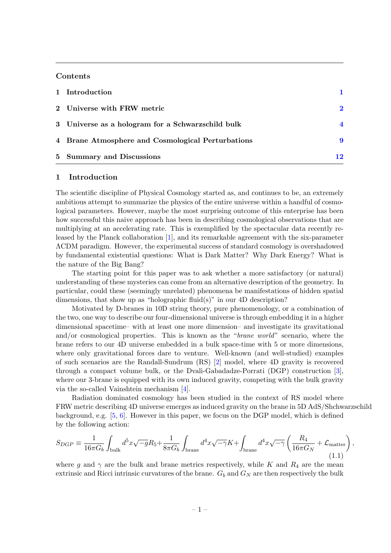#### Contents

| 1 Introduction                                    |                  |
|---------------------------------------------------|------------------|
| 2 Universe with FRW metric                        | $\mathbf{2}$     |
| 3 Universe as a hologram for a Schwarzschild bulk | $\boldsymbol{4}$ |
| 4 Brane Atmosphere and Cosmological Perturbations | 9                |
| 5 Summary and Discussions                         | 12               |

# <span id="page-1-0"></span>1 Introduction

The scientific discipline of Physical Cosmology started as, and continues to be, an extremely ambitious attempt to summarize the physics of the entire universe within a handful of cosmological parameters. However, maybe the most surprising outcome of this enterprise has been how successful this naive approach has been in describing cosmological observations that are multiplying at an accelerating rate. This is exemplified by the spectacular data recently released by the Planck collaboration [\[1\]](#page-14-0), and its remarkable agreement with the six-parameter ΛCDM paradigm. However, the experimental success of standard cosmology is overshadowed by fundamental existential questions: What is Dark Matter? Why Dark Energy? What is the nature of the Big Bang?

The starting point for this paper was to ask whether a more satisfactory (or natural) understanding of these mysteries can come from an alternative description of the geometry. In particular, could these (seemingly unrelated) phenomena be manifestations of hidden spatial dimensions, that show up as "holographic fluid(s)" in our 4D description?

Motivated by D-branes in 10D string theory, pure phenomenology, or a combination of the two, one way to describe our four-dimensional universe is through embedding it in a higher dimensional spacetime– with at least one more dimension– and investigate its gravitational and/or cosmological properties. This is known as the "brane world" scenario, where the brane refers to our 4D universe embedded in a bulk space-time with 5 or more dimensions, where only gravitational forces dare to venture. Well-known (and well-studied) examples of such scenarios are the Randall-Sundrum (RS) [\[2\]](#page-14-1) model, where 4D gravity is recovered through a compact volume bulk, or the Dvali-Gabadadze-Porrati (DGP) construction [\[3\]](#page-15-0), where our 3-brane is equipped with its own induced gravity, competing with the bulk gravity via the so-called Vainshtein mechanism [\[4\]](#page-15-1).

Radiation dominated cosmology has been studied in the context of RS model where FRW metric describing 4D universe emerges as induced gravity on the brane in 5D AdS/Shchwarzschild background, e.g. [\[5,](#page-15-2) [6\]](#page-15-3). However in this paper, we focus on the DGP model, which is defined by the following action:

$$
S_{DGP} \equiv \frac{1}{16\pi G_b} \int_{\text{bulk}} d^5 x \sqrt{-g} R_5 + \frac{1}{8\pi G_b} \int_{\text{brane}} d^4 x \sqrt{-\gamma} K + \int_{\text{brane}} d^4 x \sqrt{-\gamma} \left( \frac{R_4}{16\pi G_N} + \mathcal{L}_{\text{matter}} \right),\tag{1.1}
$$

where g and  $\gamma$  are the bulk and brane metrics respectively, while K and  $R_4$  are the mean extrinsic and Ricci intrinsic curvatures of the brane.  $G_b$  and  $G_N$  are then respectively the bulk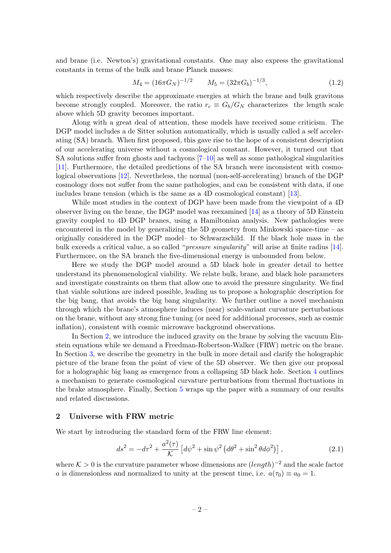and brane (i.e. Newton's) gravitational constants. One may also express the gravitational constants in terms of the bulk and brane Planck masses:

<span id="page-2-2"></span>
$$
M_4 = (16\pi G_N)^{-1/2} \qquad M_5 = (32\pi G_b)^{-1/3},\tag{1.2}
$$

which respectively describe the approximate energies at which the brane and bulk gravitons become strongly coupled. Moreover, the ratio  $r_c \equiv G_b/G_N$  characterizes the length scale above which 5D gravity becomes important.

Along with a great deal of attention, these models have received some criticism. The DGP model includes a de Sitter solution automatically, which is usually called a self accelerating (SA) branch. When first proposed, this gave rise to the hope of a consistent description of our accelerating universe without a cosmological constant. However, it turned out that SA solutions suffer from ghosts and tachyons [\[7](#page-15-4)[–10\]](#page-15-5) as well as some pathological singularities [\[11\]](#page-15-6). Furthermore, the detailed predictions of the SA branch were inconsistent with cosmological observations [\[12\]](#page-15-7). Nevertheless, the normal (non-self-accelerating) branch of the DGP cosmology does not suffer from the same pathologies, and can be consistent with data, if one includes brane tension (which is the same as a 4D cosmological constant) [\[13\]](#page-15-8).

While most studies in the context of DGP have been made from the viewpoint of a 4D observer living on the brane, the DGP model was reexamined [\[14\]](#page-15-9) as a theory of 5D Einstein gravity coupled to 4D DGP branes, using a Hamiltonian analysis. New pathologies were encountered in the model by generalizing the 5D geometry from Minkowski space-time – as originally considered in the DGP model– to Schwarzschild. If the black hole mass in the bulk exceeds a critical value, a so called "pressure singularity" will arise at finite radius [\[14\]](#page-15-9). Furthermore, on the SA branch the five-dimensional energy is unbounded from below.

Here we study the DGP model around a 5D black hole in greater detail to better understand its phenomenological viability. We relate bulk, brane, and black hole parameters and investigate constraints on them that allow one to avoid the pressure singularity. We find that viable solutions are indeed possible, leading us to propose a holographic description for the big bang, that avoids the big bang singularity. We further outline a novel mechanism through which the brane's atmosphere induces (near) scale-variant curvature perturbations on the brane, without any strong fine tuning (or need for additional processes, such as cosmic inflation), consistent with cosmic microwave background observations.

In Section [2,](#page-2-0) we introduce the induced gravity on the brane by solving the vacuum Einstein equations while we demand a Freedman-Robertson-Walker (FRW) metric on the brane. In Section [3,](#page-4-0) we describe the geometry in the bulk in more detail and clarify the holographic picture of the brane from the point of view of the 5D observer. We then give our proposal for a holographic big bang as emergence from a collapsing 5D black hole. Section [4](#page-9-0) outlines a mechanism to generate cosmological curvature perturbations from thermal fluctuations in the brake atmosphere. Finally, Section [5](#page-12-0) wraps up the paper with a summary of our results and related discussions.

#### <span id="page-2-0"></span>2 Universe with FRW metric

We start by introducing the standard form of the FRW line element:

<span id="page-2-1"></span>
$$
ds^{2} = -d\tau^{2} + \frac{a^{2}(\tau)}{\mathcal{K}} \left[ d\psi^{2} + \sin\psi^{2} \left( d\theta^{2} + \sin^{2}\theta d\phi^{2} \right) \right],
$$
 (2.1)

where  $K > 0$  is the curvature parameter whose dimensions are  $(length)^{-2}$  and the scale factor a is dimensionless and normalized to unity at the present time, i.e.  $a(\tau_0) \equiv a_0 = 1$ .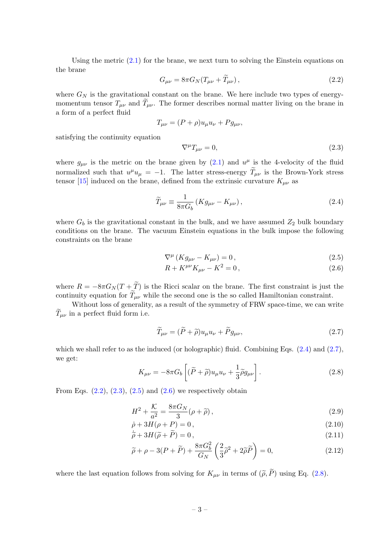Using the metric  $(2.1)$  for the brane, we next turn to solving the Einstein equations on the brane

<span id="page-3-2"></span>
$$
G_{\mu\nu} = 8\pi G_N (T_{\mu\nu} + T_{\mu\nu}), \qquad (2.2)
$$

where  $G_N$  is the gravitational constant on the brane. We here include two types of energymomentum tensor  $T_{\mu\nu}$  and  $T_{\mu\nu}$ . The former describes normal matter living on the brane in a form of a perfect fluid

$$
T_{\mu\nu} = (P + \rho)u_{\mu}u_{\nu} + P g_{\mu\nu},
$$

satisfying the continuity equation

<span id="page-3-3"></span>
$$
\nabla^{\mu}T_{\mu\nu} = 0, \tag{2.3}
$$

where  $g_{\mu\nu}$  is the metric on the brane given by [\(2.1\)](#page-2-1) and  $u^{\mu}$  is the 4-velocity of the fluid normalized such that  $u^{\mu}u_{\mu} = -1$ . The latter stress-energy  $\tilde{T}_{\mu\nu}$  is the Brown-York stress tensor [\[15\]](#page-15-10) induced on the brane, defined from the extrinsic curvature  $K_{\mu\nu}$  as

<span id="page-3-0"></span>
$$
\widetilde{T}_{\mu\nu} \equiv \frac{1}{8\pi G_b} \left( K g_{\mu\nu} - K_{\mu\nu} \right),\tag{2.4}
$$

where  $G_b$  is the gravitational constant in the bulk, and we have assumed  $Z_2$  bulk boundary conditions on the brane. The vacuum Einstein equations in the bulk impose the following constraints on the brane

$$
\nabla^{\mu} \left( K g_{\mu\nu} - K_{\mu\nu} \right) = 0, \qquad (2.5)
$$

<span id="page-3-4"></span>
$$
R + K^{\mu\nu} K_{\mu\nu} - K^2 = 0, \qquad (2.6)
$$

where  $R = -8\pi G_N(T + \tilde{T})$  is the Ricci scalar on the brane. The first constraint is just the continuity equation for  $\widetilde{T}_{\mu\nu}$  while the second one is the so called Hamiltonian constraint.

Without loss of generality, as a result of the symmetry of FRW space-time, we can write  $\tilde{T}_{\mu\nu}$  in a perfect fluid form i.e.

<span id="page-3-1"></span>
$$
\widetilde{T}_{\mu\nu} = (\widetilde{P} + \widetilde{\rho})u_{\mu}u_{\nu} + \widetilde{P}g_{\mu\nu},\tag{2.7}
$$

which we shall refer to as the induced (or holographic) fluid. Combining Eqs.  $(2.4)$  and  $(2.7)$ , we get:

<span id="page-3-5"></span>
$$
K_{\mu\nu} = -8\pi G_b \left[ (\tilde{P} + \tilde{\rho}) u_{\mu} u_{\nu} + \frac{1}{3} \tilde{\rho} g_{\mu\nu} \right]. \tag{2.8}
$$

From Eqs.  $(2.2)$ ,  $(2.3)$ ,  $(2.5)$  and  $(2.6)$  we respectively obtain

$$
H^2 + \frac{\mathcal{K}}{a^2} = \frac{8\pi G_N}{3} (\rho + \widetilde{\rho}), \qquad (2.9)
$$

<span id="page-3-6"></span>
$$
\dot{\rho} + 3H(\rho + P) = 0,\tag{2.10}
$$

$$
\dot{\tilde{\rho}} + 3H(\tilde{\rho} + \tilde{P}) = 0, \qquad (2.11)
$$

$$
\widetilde{\rho} + \rho - 3(P + \widetilde{P}) + \frac{8\pi G_b^2}{G_N} \left(\frac{2}{3}\widetilde{\rho}^2 + 2\widetilde{\rho}\widetilde{P}\right) = 0,\tag{2.12}
$$

where the last equation follows from solving for  $K_{\mu\nu}$  in terms of  $(\tilde{\rho}, \tilde{P})$  using Eq. [\(2.8\)](#page-3-5).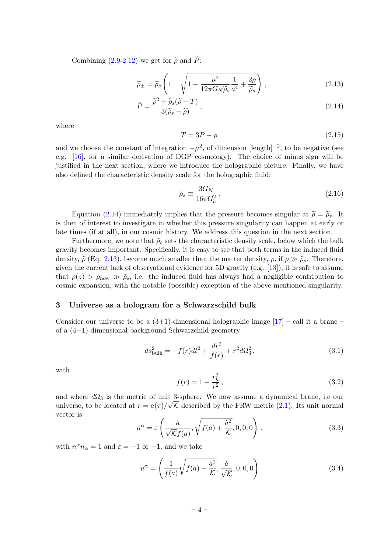Combining  $(2.9-2.12)$  we get for  $\tilde{\rho}$  and  $\tilde{P}$ :

$$
\widetilde{\rho}_{\pm} = \widetilde{\rho}_s \left( 1 \pm \sqrt{1 - \frac{\mu^2}{12\pi G_N \widetilde{\rho}_s} \frac{1}{a^4} + \frac{2\rho}{\widetilde{\rho}_s}} \right) ,\qquad(2.13)
$$

<span id="page-4-1"></span>
$$
\widetilde{P} = \frac{\widetilde{\rho}^2 + \widetilde{\rho}_s(\widetilde{\rho} - T)}{3(\widetilde{\rho}_s - \widetilde{\rho})},\tag{2.14}
$$

where

$$
T = 3P - \rho \tag{2.15}
$$

and we choose the constant of integration  $-\mu^2$ , of dimension [length]<sup>-2</sup>, to be negative (see e.g. [\[16\]](#page-15-11), for a similar derivation of DGP cosmology). The choice of minus sign will be justified in the next section, where we introduce the holographic picture. Finally, we have also defined the characteristic density scale for the holographic fluid:

$$
\widetilde{\rho}_s \equiv \frac{3G_N}{16\pi G_b^2} \,. \tag{2.16}
$$

Equation [\(2.14\)](#page-4-1) immediately implies that the pressure becomes singular at  $\tilde{\rho} = \tilde{\rho}_s$ . It is then of interest to investigate in whether this pressure singularity can happen at early or late times (if at all), in our cosmic history. We address this question in the next section.

Furthermore, we note that  $\tilde{\rho}_s$  sets the characteristic density scale, below which the bulk gravity becomes important. Specifically, it is easy to see that both terms in the induced fluid density,  $\tilde{\rho}$  (Eq. [2.13\)](#page-4-1), become much smaller than the matter density,  $\rho$ , if  $\rho \gg \tilde{\rho}_s$ . Therefore, given the current lack of observational evidence for 5D gravity (e.g. [\[13\]](#page-15-8)), it is safe to assume that  $\rho(z) > \rho_{\text{now}} \gg \tilde{\rho}_s$ , i.e. the induced fluid has always had a negligible contribution to cosmic expansion, with the notable (possible) exception of the above-mentioned singularity.

#### <span id="page-4-0"></span>3 Universe as a hologram for a Schwarzschild bulk

Consider our universe to be a  $(3+1)$ -dimensional holographic image  $[17]$  – call it a brane – of a (4+1)-dimensional background Schwarzchild geometry

$$
ds_{\text{bulk}}^2 = -f(r)dt^2 + \frac{dr^2}{f(r)} + r^2d\Omega_3^2,
$$
\n(3.1)

with

$$
f(r) = 1 - \frac{r_h^2}{r^2},\tag{3.2}
$$

and where  $d\Omega_3$  is the metric of unit 3-sphere. We now assume a dynamical brane, i.e our universe, to be located at  $r = a(\tau)/\sqrt{K}$  described by the FRW metric [\(2.1\)](#page-2-1). Its unit normal vector is

$$
n^{\alpha} = \varepsilon \left( \frac{\dot{a}}{\sqrt{\mathcal{K}} f(a)}, \sqrt{f(a) + \frac{\dot{a}^2}{\mathcal{K}}}, 0, 0, 0 \right), \qquad (3.3)
$$

with  $n^{\alpha}n_{\alpha} = 1$  and  $\varepsilon = -1$  or  $+1$ , and we take

$$
u^{\alpha} = \left(\frac{1}{f(a)}\sqrt{f(a) + \frac{\dot{a}^2}{\mathcal{K}}}, \frac{\dot{a}}{\sqrt{\mathcal{K}}}, 0, 0, 0\right)
$$
(3.4)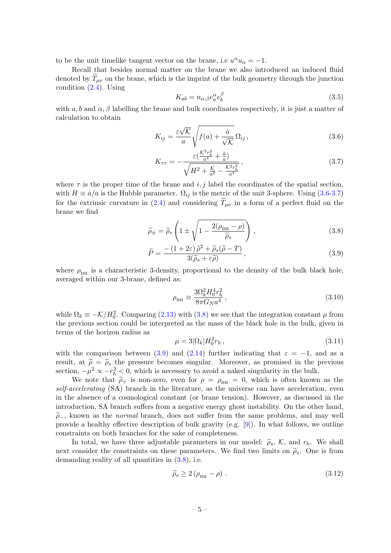to be the unit timelike tangent vector on the brane, i.e  $u^{\alpha}u_{\alpha} = -1$ .

Recall that besides normal matter on the brane we also introduced an induced fluid denoted by  $T_{\mu\nu}$  on the brane, which is the imprint of the bulk geometry through the junction condition [\(2.4\)](#page-3-0). Using

$$
K_{ab} = n_{\alpha;\beta} e_a^{\alpha} e_b^{\beta} \tag{3.5}
$$

with  $a, b$  and  $\alpha, \beta$  labelling the brane and bulk coordinates respectively, it is just a matter of calculation to obtain

$$
K_{ij} = \frac{\varepsilon \sqrt{\mathcal{K}}}{a} \sqrt{f(a) + \frac{\dot{a}}{\sqrt{\mathcal{K}}}} \Omega_{ij},
$$
\n(3.6)

<span id="page-5-0"></span>
$$
K_{\tau\tau} = -\frac{\varepsilon(\frac{K^2 r_h^2}{a^4} + \frac{\ddot{a}}{a})}{\sqrt{H^2 + \frac{K}{a^2} - \frac{K^2 r_h^2}{a^4}}},\tag{3.7}
$$

where  $\tau$  is the proper time of the brane and i, j label the coordinates of the spatial section, with  $H \equiv \dot{a}/a$  is the Hubble parameter.  $\Omega_{ij}$  is the metric of the unit 3-sphere. Using [\(3.6-3.7\)](#page-5-0) for the extrinsic curvature in [\(2.4\)](#page-3-0) and considering  $T_{\mu\nu}$  in a form of a perfect fluid on the brane we find

$$
\widetilde{\rho}_{\pm} = \widetilde{\rho}_s \left( 1 \pm \sqrt{1 - \frac{2(\rho_{\rm BH} - \rho)}{\widetilde{\rho}_s}} \right),\tag{3.8}
$$

<span id="page-5-1"></span>
$$
\widetilde{P} = \frac{-\left(1+2\varepsilon\right)\widetilde{\rho}^2 + \widetilde{\rho}_s(\widetilde{\rho}-T)}{3(\widetilde{\rho}_s+\varepsilon\widetilde{\rho})},\tag{3.9}
$$

where  $\rho_{\text{BH}}$  is a characteristic 3-density, proportional to the density of the bulk black hole, averaged within our 3-brane, defined as:

$$
\rho_{\rm BH} \equiv \frac{3\Omega_k^2 H_0^4 r_h^2}{8\pi G_N a^4} \,, \tag{3.10}
$$

while  $\Omega_k \equiv -\mathcal{K}/H_0^2$ . Comparing [\(2.13\)](#page-4-1) with [\(3.8\)](#page-5-1) we see that the integration constant  $\mu$  from the previous section could be interpreted as the mass of the black hole in the bulk, given in terms of the horizon radius as

$$
\mu = 3|\Omega_k| H_0^2 r_h, \qquad (3.11)
$$

with the comparison between [\(3.9\)](#page-5-1) and [\(2.14\)](#page-4-1) further indicating that  $\varepsilon = -1$ , and as a result, at  $\tilde{\rho} = \tilde{\rho}_s$  the pressure becomes singular. Moreover, as promised in the previous section,  $-\mu^2 \propto -r_h^2 < 0$ , which is necessary to avoid a naked singularity in the bulk.

We note that  $\tilde{\rho}_+$  is non-zero, even for  $\rho = \rho_{BH} = 0$ , which is often known as the self-accelerating (SA) branch in the literature, as the universe can have acceleration, even in the absence of a cosmological constant (or brane tension). However, as discussed in the introduction, SA branch suffers from a negative energy ghost instability. On the other hand,  $\tilde{\rho}_-$ , known as the *normal* branch, does not suffer from the same problems, and may well provide a healthy effective description of bulk gravity (e.g. [\[9\]](#page-15-13)). In what follows, we outline constraints on both branches for the sake of completeness.

In total, we have three adjustable parameters in our model:  $\tilde{\rho}_s$ , K, and  $r_h$ . We shall next consider the constraints on these parameters. We find two limits on  $\tilde{\rho}_s$ . One is from demanding reality of all quantities in [\(3.8\)](#page-5-1), i.e.

<span id="page-5-2"></span>
$$
\widetilde{\rho}_s \ge 2\left(\rho_{\rm BH} - \rho\right). \tag{3.12}
$$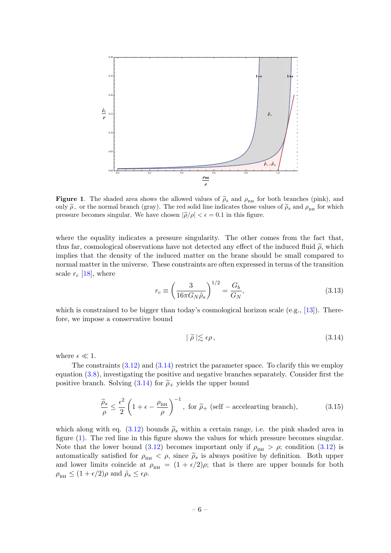

<span id="page-6-1"></span>Figure 1. The shaded area shows the allowed values of  $\tilde{\rho}_s$  and  $\rho_{\text{BH}}$  for both branches (pink), and only  $\tilde{\rho}_-$  or the normal branch (gray). The red solid line indicates those values of  $\tilde{\rho}_s$  and  $\rho_{\text{BH}}$  for which pressure becomes singular. We have chosen  $|\tilde{\rho}/\rho| < \epsilon = 0.1$  in this figure.

where the equality indicates a pressure singularity. The other comes from the fact that, thus far, cosmological observations have not detected any effect of the induced fluid  $\tilde{\rho}$ , which implies that the density of the induced matter on the brane should be small compared to normal matter in the universe. These constraints are often expressed in terms of the transition scale  $r_c$  [\[18\]](#page-15-14), where

$$
r_c \equiv \left(\frac{3}{16\pi G_N \tilde{\rho}_s}\right)^{1/2} = \frac{G_b}{G_N},\tag{3.13}
$$

which is constrained to be bigger than today's cosmological horizon scale  $(e.g., [13])$  $(e.g., [13])$  $(e.g., [13])$ . Therefore, we impose a conservative bound

<span id="page-6-0"></span>
$$
|\tilde{\rho}| \lesssim \epsilon \rho, \tag{3.14}
$$

where  $\epsilon \ll 1$ .

The constraints  $(3.12)$  and  $(3.14)$  restrict the parameter space. To clarify this we employ equation [\(3.8\)](#page-5-1), investigating the positive and negative branches separately. Consider first the positive branch. Solving [\(3.14\)](#page-6-0) for  $\tilde{\rho}_+$  yields the upper bound

$$
\frac{\tilde{\rho}_s}{\rho} \le \frac{\epsilon^2}{2} \left( 1 + \epsilon - \frac{\rho_{\rm BH}}{\rho} \right)^{-1}, \text{ for } \tilde{\rho}_+ \text{ (self - accelerating branch)}, \tag{3.15}
$$

which along with eq. [\(3.12\)](#page-5-2) bounds  $\tilde{\rho}_s$  within a certain range, i.e. the pink shaded area in figure [\(1\)](#page-6-1). The red line in this figure shows the values for which pressure becomes singular. Note that the lower bound [\(3.12\)](#page-5-2) becomes important only if  $\rho<sub>BH</sub> > \rho$ ; condition (3.12) is automatically satisfied for  $\rho_{\text{BH}} < \rho$ , since  $\rho_{\text{s}}$  is always positive by definition. Both upper and lower limits coincide at  $\rho_{\text{BH}} = (1 + \epsilon/2)\rho$ ; that is there are upper bounds for both  $\rho_{\text{\tiny BH}} \leq (1 + \epsilon/2)\rho$  and  $\tilde{\rho}_s \leq \epsilon \rho$ .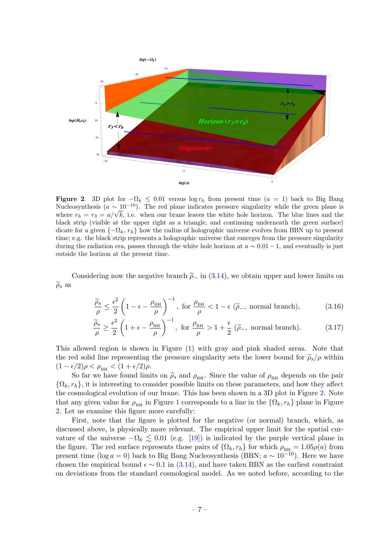

<span id="page-7-0"></span>**Figure 2.** 3D plot for  $-\Omega_k < 0.01$  versus log  $r_h$  from present time  $(a = 1)$  back to Big Bang Nucleosynthesis  $(a \sim 10^{-10})$ . The red plane indicates pressure singularity while the green plane is Nucleosynthesis ( $a \sim 10^{-10}$ ). The red plane indicates pressure singularity while the green plane is<br>where  $r_h = r_3 = a/\sqrt{k}$ , i.e. when our brane leaves the white hole horizon. The blue lines and the black strip (visible at the upper right as a triangle, and continuing underneath the green surface) dicate for a given  $\{-\Omega_k, r_h\}$  how the radius of holographic universe evolves from BBN up to present time; e.g. the black strip represents a holographic universe that emerges from the pressure singularity during the radiation era, passes through the white hole horizon at  $a \sim 0.01 - 1$ , and eventually is just outside the horizon at the present time.

Considering now the negative branch  $\tilde{\rho}_-$  in [\(3.14\)](#page-6-0), we obtain upper and lower limits on  $\widetilde{\rho}_s$  as

$$
\frac{\tilde{\rho}_s}{\rho} \le \frac{\epsilon^2}{2} \left( 1 - \epsilon - \frac{\rho_{\text{BH}}}{\rho} \right)^{-1}, \text{ for } \frac{\rho_{\text{BH}}}{\rho} < 1 - \epsilon \text{ (}\tilde{\rho}_-, \text{ normal branch)}, \tag{3.16}
$$

$$
\frac{\widetilde{\rho}_s}{\rho} \ge \frac{\epsilon^2}{2} \left( 1 + \epsilon - \frac{\rho_{\text{BH}}}{\rho} \right)^{-1}, \text{ for } \frac{\rho_{\text{BH}}}{\rho} > 1 + \frac{\epsilon}{2} \left( \widetilde{\rho}_-, \text{ normal branch} \right). \tag{3.17}
$$

This allowed region is shown in Figure [\(1\)](#page-6-1) with gray and pink shaded areas. Note that the red solid line representing the pressure singularity sets the lower bound for  $\tilde{\rho}_s/\rho$  within  $(1 - \epsilon/2)\rho < \rho_{\text{BH}} < (1 + \epsilon/2)\rho.$ 

So far we have found limits on  $\tilde{\rho}_s$  and  $\rho_{\text{BH}}$ . Since the value of  $\rho_{\text{BH}}$  depends on the pair  $\{\Omega_k, r_h\}$ , it is interesting to consider possible limits on these parameters, and how they affect the cosmological evolution of our brane. This has been shown in a 3D plot in Figure [2.](#page-7-0) Note that any given value for  $\rho_{\text{BH}}$  in Figure [1](#page-6-1) corresponds to a line in the  $\{\Omega_k, r_h\}$  plane in Figure [2.](#page-7-0) Let us examine this figure more carefully:

First, note that the figure is plotted for the negative (or normal) branch, which, as discussed above, is physically more relevant. The empirical upper limit for the spatial curvature of the universe  $-\Omega_k \leq 0.01$  (e.g. [\[19\]](#page-15-15)) is indicated by the purple vertical plane in the figure. The red surface represents those pairs of  $\{\Omega_k, r_h\}$  for which  $\rho_{\text{BH}} = 1.05\rho(a)$  from present time (log  $a = 0$ ) back to Big Bang Nucleosynthesis (BBN;  $a \sim 10^{-10}$ ). Here we have chosen the empirical bound  $\epsilon \sim 0.1$  in [\(3.14\)](#page-6-0), and have taken BBN as the earliest constraint on deviations from the standard cosmological model. As we noted before, according to the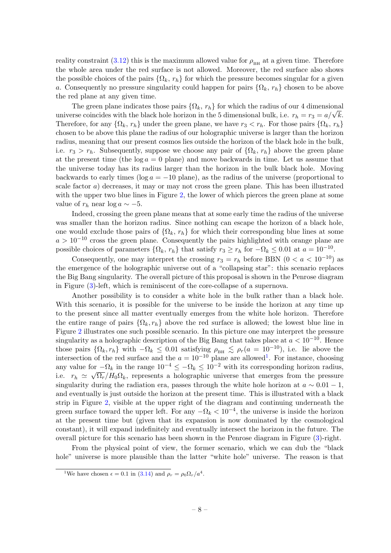reality constraint [\(3.12\)](#page-5-2) this is the maximum allowed value for  $\rho_{\text{BH}}$  at a given time. Therefore the whole area under the red surface is not allowed. Moreover, the red surface also shows the possible choices of the pairs  $\{\Omega_k, r_h\}$  for which the pressure becomes singular for a given a. Consequently no pressure singularity could happen for pairs  $\{\Omega_k, r_h\}$  chosen to be above the red plane at any given time.

The green plane indicates those pairs  $\{\Omega_k, r_h\}$  for which the radius of our 4 dimensional The green plane indicates those pairs  $\{Y_k, r_h\}$  for which the radius of our 4 dimensional universe coincides with the black hole horizon in the 5 dimensional bulk, i.e.  $r_h = r_3 = a/\sqrt{k}$ . Therefore, for any  $\{\Omega_k, r_h\}$  under the green plane, we have  $r_3 < r_h$ . For those pairs  $\{\Omega_k, r_h\}$ chosen to be above this plane the radius of our holographic universe is larger than the horizon radius, meaning that our present cosmos lies outside the horizon of the black hole in the bulk, i.e.  $r_3 > r_h$ . Subsequently, suppose we choose any pair of  $\{\Omega_k, r_h\}$  above the green plane at the present time (the  $log a = 0$  plane) and move backwards in time. Let us assume that the universe today has its radius larger than the horizon in the bulk black hole. Moving backwards to early times ( $log a = -10$  plane), as the radius of the universe (proportional to scale factor  $a$ ) decreases, it may or may not cross the green plane. This has been illustrated with the upper two blue lines in Figure [2,](#page-7-0) the lower of which pierces the green plane at some value of  $r_h$  near log  $a \sim -5$ .

Indeed, crossing the green plane means that at some early time the radius of the universe was smaller than the horizon radius. Since nothing can escape the horizon of a black hole, one would exclude those pairs of  $\{\Omega_k, r_h\}$  for which their corresponding blue lines at some  $a > 10^{-10}$  cross the green plane. Consequently the pairs highlighted with orange plane are possible choices of parameters  $\{\Omega_k, r_h\}$  that satisfy  $r_3 \ge r_h$  for  $-\Omega_k \le 0.01$  at  $a = 10^{-10}$ .

Consequently, one may interpret the crossing  $r_3 = r_h$  before BBN  $(0 < a < 10^{-10})$  as the emergence of the holographic universe out of a "collapsing star": this scenario replaces the Big Bang singularity. The overall picture of this proposal is shown in the Penrose diagram in Figure [\(3\)](#page-9-1)-left, which is reminiscent of the core-collapse of a supernova.

Another possibility is to consider a white hole in the bulk rather than a black hole. With this scenario, it is possible for the universe to be inside the horizon at any time up to the present since all matter eventually emerges from the white hole horizon. Therefore the entire range of pairs  $\{\Omega_k, r_h\}$  above the red surface is allowed; the lowest blue line in Figure [2](#page-7-0) illustrates one such possible scenario. In this picture one may interpret the pressure singularity as a holographic description of the Big Bang that takes place at  $a < 10^{-10}$ . Hence those pairs  $\{\Omega_k, r_h\}$  with  $-\Omega_k \leq 0.01$  satisfying  $\rho_{\text{BH}} \lesssim \rho_r(a = 10^{-10})$ , i.e. lie above the intersection of the red surface and the  $a = 10^{-10}$  $a = 10^{-10}$  $a = 10^{-10}$  plane are allowed<sup>1</sup>. For instance, choosing any value for  $-\Omega_k$  in the range  $10^{-4} \le -\Omega_k \le 10^{-2}$  with its corresponding horizon radius, i.e.  $r_h \simeq \sqrt{\Omega_r}/H_0\Omega_k$ , represents a holographic universe that emerges from the pressure singularity during the radiation era, passes through the white hole horizon at  $a \sim 0.01 - 1$ , and eventually is just outside the horizon at the present time. This is illustrated with a black strip in Figure [2,](#page-7-0) visible at the upper right of the diagram and continuing underneath the green surface toward the upper left. For any  $-\Omega_k < 10^{-4}$ , the universe is inside the horizon at the present time but (given that its expansion is now dominated by the cosmological constant), it will expand indefinitely and eventually intersect the horizon in the future. The overall picture for this scenario has been shown in the Penrose diagram in Figure [\(3\)](#page-9-1)-right.

From the physical point of view, the former scenario, which we can dub the "black hole" universe is more plausible than the latter "white hole" universe. The reason is that

<span id="page-8-0"></span><sup>&</sup>lt;sup>1</sup>We have chosen  $\epsilon = 0.1$  in [\(3.14\)](#page-6-0) and  $\rho_r = \rho_0 \Omega_r / a^4$ .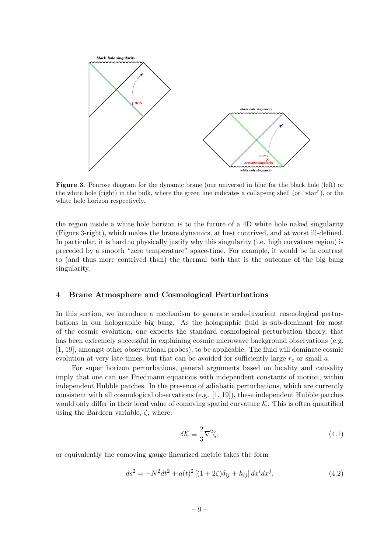

<span id="page-9-1"></span>Figure 3. Penrose diagram for the dynamic brane (our universe) in blue for the black hole (left) or the white hole (right) in the bulk, where the green line indicates a collapsing shell (or "star"), or the white hole horizon respectively.

the region inside a white hole horizon is to the future of a 4D white hole naked singularity (Figure [3-](#page-9-1)right), which makes the brane dynamics, at best contrived, and at worst ill-defined. In particular, it is hard to physically justify why this singularity (i.e. high curvature region) is preceded by a smooth "zero temperature" space-time. For example, it would be in contrast to (and thus more contrived than) the thermal bath that is the outcome of the big bang singularity.

#### <span id="page-9-0"></span>4 Brane Atmosphere and Cosmological Perturbations

In this section, we introduce a mechanism to generate scale-invariant cosmological perturbations in our holographic big bang. As the holographic fluid is sub-dominant for most of the cosmic evolution, one expects the standard cosmological perturbation theory, that has been extremely successful in explaining cosmic microwave background observations (e.g. [\[1,](#page-14-0) [19\]](#page-15-15), amongst other observational probes), to be applicable. The fluid will dominate cosmic evolution at very late times, but that can be avoided for sufficiently large  $r_c$  or small a.

For super horizon perturbations, general arguments based on locality and causality imply that one can use Friedmann equations with independent constants of motion, within independent Hubble patches. In the presence of adiabatic perturbations, which are currently consistent with all cosmological observations (e.g. [\[1,](#page-14-0) [19\]](#page-15-15)), these independent Hubble patches would only differ in their local value of comoving spatial curvature  $K$ . This is often quantified using the Bardeen variable,  $\zeta$ , where:

$$
\delta \mathcal{K} \equiv \frac{2}{3} \nabla^2 \zeta,\tag{4.1}
$$

or equivalently the comoving gauge linearized metric takes the form

<span id="page-9-2"></span>
$$
ds^{2} = -N^{2}dt^{2} + a(t)^{2}[(1+2\zeta)\delta_{ij} + h_{ij}]dx^{i}dx^{j}, \qquad (4.2)
$$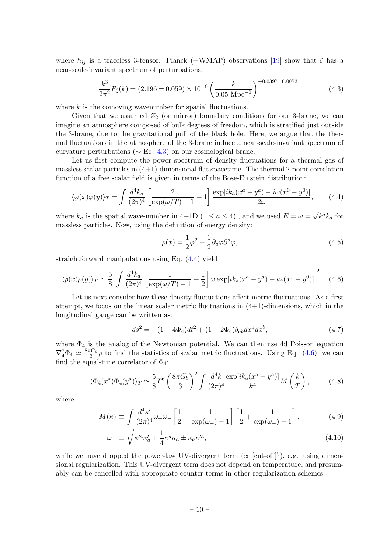where  $h_{ij}$  is a traceless 3-tensor. Planck (+WMAP) observations [\[19\]](#page-15-15) show that  $\zeta$  has a near-scale-invariant spectrum of perturbations:

<span id="page-10-0"></span>
$$
\frac{k^3}{2\pi^2}P_\zeta(k) = (2.196 \pm 0.059) \times 10^{-9} \left(\frac{k}{0.05 \text{ Mpc}^{-1}}\right)^{-0.0397 \pm 0.0073},\tag{4.3}
$$

where  $k$  is the comoving wavenumber for spatial fluctuations.

Given that we assumed  $Z_2$  (or mirror) boundary conditions for our 3-brane, we can imagine an atmosphere composed of bulk degrees of freedom, which is stratified just outside the 3-brane, due to the gravitational pull of the black hole. Here, we argue that the thermal fluctuations in the atmosphere of the 3-brane induce a near-scale-invariant spectrum of curvature perturbations ( $\sim$  Eq. [4.3\)](#page-10-0) on our cosmological brane.

Let us first compute the power spectrum of density fluctuations for a thermal gas of massless scalar particles in  $(4+1)$ -dimensional flat spacetime. The thermal 2-point correlation function of a free scalar field is given in terms of the Bose-Einstein distribution:

<span id="page-10-1"></span>
$$
\langle \varphi(x)\varphi(y)\rangle_T = \int \frac{d^4k_a}{(2\pi)^4} \left[\frac{2}{\exp(\omega/T) - 1} + 1\right] \frac{\exp[i k_a (x^a - y^a) - i\omega(x^0 - y^0)]}{2\omega},\tag{4.4}
$$

where  $k_a$  is the spatial wave-number in 4+1D (1  $\le a \le 4$ ), and we used  $E = \omega =$  $\overline{k^a k_a}$  for massless particles. Now, using the definition of energy density:

$$
\rho(x) = \frac{1}{2}\dot{\varphi}^2 + \frac{1}{2}\partial_a\varphi\partial^a\varphi,\tag{4.5}
$$

straightforward manipulations using Eq. [\(4.4\)](#page-10-1) yield

<span id="page-10-2"></span>
$$
\langle \rho(x)\rho(y)\rangle_T \simeq \frac{5}{8} \left| \int \frac{d^4k_a}{(2\pi)^4} \left[ \frac{1}{\exp(\omega/T) - 1} + \frac{1}{2} \right] \omega \exp[i k_a (x^a - y^a) - i\omega (x^0 - y^0)] \right|^2. \tag{4.6}
$$

Let us next consider how these density fluctuations affect metric fluctuations. As a first attempt, we focus on the linear scalar metric fluctuations in  $(4+1)$ -dimensions, which in the longitudinal gauge can be written as:

<span id="page-10-4"></span>
$$
ds^{2} = -(1 + 4\Phi_{4})dt^{2} + (1 - 2\Phi_{4})\delta_{ab}dx^{a}dx^{b}, \qquad (4.7)
$$

where  $\Phi_4$  is the analog of the Newtonian potential. We can then use 4d Poisson equation  $\nabla_4^2 \Phi_4 \simeq \frac{8\pi G_b}{3} \rho$  to find the statistics of scalar metric fluctuations. Using Eq. [\(4.6\)](#page-10-2), we can find the equal-time correlator of  $\Phi_4$ :

<span id="page-10-3"></span>
$$
\langle \Phi_4(x^a)\Phi_4(y^a)\rangle_T \simeq \frac{5}{8}T^6 \left(\frac{8\pi G_b}{3}\right)^2 \int \frac{d^4k}{(2\pi)^4} \frac{\exp[i k_a(x^a - y^a)]}{k^4} M\left(\frac{k}{T}\right),\tag{4.8}
$$

where

$$
M(\kappa) \equiv \int \frac{d^4 \kappa'}{(2\pi)^4} \omega_+ \omega_- \left[ \frac{1}{2} + \frac{1}{\exp(\omega_+)-1} \right] \left[ \frac{1}{2} + \frac{1}{\exp(\omega_-)-1} \right],\tag{4.9}
$$

$$
\omega_{\pm} \equiv \sqrt{\kappa'^a \kappa'_a + \frac{1}{4} \kappa^a \kappa_a \pm \kappa_a \kappa'^a},\tag{4.10}
$$

while we have dropped the power-law UV-divergent term ( $\propto$  [cut-off]<sup>6</sup>), e.g. using dimensional regularization. This UV-divergent term does not depend on temperature, and presumably can be cancelled with appropriate counter-terms in other regularization schemes.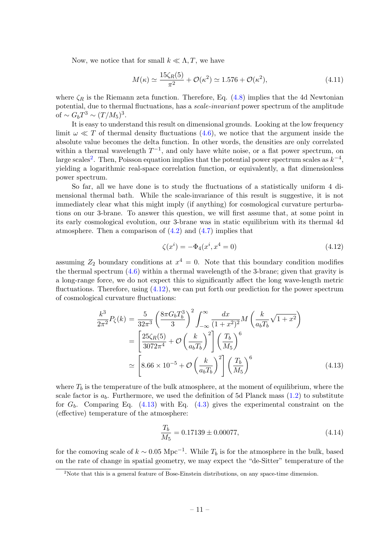Now, we notice that for small  $k \ll \Lambda, T$ , we have

$$
M(\kappa) \simeq \frac{15\zeta_R(5)}{\pi^2} + \mathcal{O}(\kappa^2) \simeq 1.576 + \mathcal{O}(\kappa^2),\tag{4.11}
$$

where  $\zeta_R$  is the Riemann zeta function. Therefore, Eq. [\(4.8\)](#page-10-3) implies that the 4d Newtonian potential, due to thermal fluctuations, has a scale-invariant power spectrum of the amplitude of  $\sim G_b T^3 \sim (T/M_5)^3$ .

It is easy to understand this result on dimensional grounds. Looking at the low frequency limit  $\omega \ll T$  of thermal density fluctuations [\(4.6\)](#page-10-2), we notice that the argument inside the absolute value becomes the delta function. In other words, the densities are only correlated within a thermal wavelength  $T^{-1}$ , and only have white noise, or a flat power spectrum, on large scales<sup>[2](#page-11-0)</sup>. Then, Poisson equation implies that the potential power spectrum scales as  $k^{-4}$ , yielding a logarithmic real-space correlation function, or equivalently, a flat dimensionless power spectrum.

So far, all we have done is to study the fluctuations of a statistically uniform 4 dimensional thermal bath. While the scale-invariance of this result is suggestive, it is not immediately clear what this might imply (if anything) for cosmological curvature perturbations on our 3-brane. To answer this question, we will first assume that, at some point in its early cosmological evolution, our 3-brane was in static equilibrium with its thermal 4d atmosphere. Then a comparison of  $(4.2)$  and  $(4.7)$  implies that

<span id="page-11-1"></span>
$$
\zeta(x^i) = -\Phi_4(x^i, x^4 = 0) \tag{4.12}
$$

assuming  $Z_2$  boundary conditions at  $x^4 = 0$ . Note that this boundary condition modifies the thermal spectrum  $(4.6)$  within a thermal wavelength of the 3-brane; given that gravity is a long-range force, we do not expect this to significantly affect the long wave-length metric fluctuations. Therefore, using  $(4.12)$ , we can put forth our prediction for the power spectrum of cosmological curvature fluctuations:

<span id="page-11-2"></span>
$$
\frac{k^3}{2\pi^2} P_\zeta(k) = \frac{5}{32\pi^3} \left(\frac{8\pi G_b T_b^3}{3}\right)^2 \int_{-\infty}^{\infty} \frac{dx}{(1+x^2)^2} M\left(\frac{k}{a_b T_b} \sqrt{1+x^2}\right)
$$

$$
= \left[\frac{25\zeta_R(5)}{3072\pi^4} + \mathcal{O}\left(\frac{k}{a_b T_b}\right)^2 \right] \left(\frac{T_b}{M_5}\right)^6
$$

$$
\simeq \left[8.66 \times 10^{-5} + \mathcal{O}\left(\frac{k}{a_b T_b}\right)^2 \right] \left(\frac{T_b}{M_5}\right)^6 \tag{4.13}
$$

where  $T_b$  is the temperature of the bulk atmosphere, at the moment of equilibrium, where the scale factor is  $a_b$ . Furthermore, we used the definition of 5d Planck mass  $(1.2)$  to substitute for  $G_b$ . Comparing Eq. [\(4.13\)](#page-11-2) with Eq. [\(4.3\)](#page-10-0) gives the experimental constraint on the (effective) temperature of the atmosphere:

$$
\frac{T_b}{M_5} = 0.17139 \pm 0.00077,\tag{4.14}
$$

for the comoving scale of  $k \sim 0.05 \text{ Mpc}^{-1}$ . While  $T_b$  is for the atmosphere in the bulk, based on the rate of change in spatial geometry, we may expect the "de-Sitter" temperature of the

<span id="page-11-0"></span><sup>&</sup>lt;sup>2</sup>Note that this is a general feature of Bose-Einstein distributions, on any space-time dimension.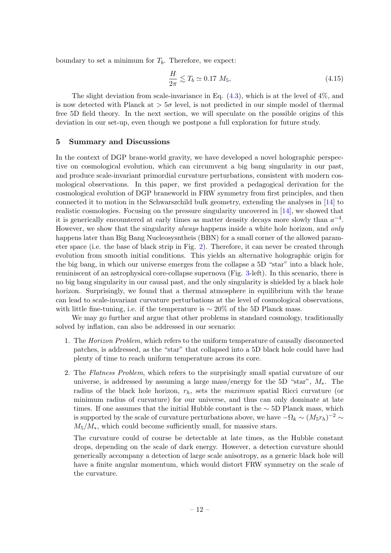boundary to set a minimum for  $T_b$ . Therefore, we expect:

<span id="page-12-1"></span>
$$
\frac{H}{2\pi} \lesssim T_b \simeq 0.17 M_5,\tag{4.15}
$$

The slight deviation from scale-invariance in Eq.  $(4.3)$ , which is at the level of  $4\%$ , and is now detected with Planck at  $> 5\sigma$  level, is not predicted in our simple model of thermal free 5D field theory. In the next section, we will speculate on the possible origins of this deviation in our set-up, even though we postpone a full exploration for future study.

# <span id="page-12-0"></span>5 Summary and Discussions

In the context of DGP brane-world gravity, we have developed a novel holographic perspective on cosmological evolution, which can circumvent a big bang singularity in our past, and produce scale-invariant primordial curvature perturbations, consistent with modern cosmological observations. In this paper, we first provided a pedagogical derivation for the cosmological evolution of DGP braneworld in FRW symmetry from first principles, and then connected it to motion in the Schwarszchild bulk geometry, extending the analyses in [\[14\]](#page-15-9) to realistic cosmologies. Focusing on the pressure singularity uncovered in [\[14\]](#page-15-9), we showed that it is generically encountered at early times as matter density decays more slowly than  $a^{-4}$ . However, we show that the singularity *always* happens inside a white hole horizon, and *only* happens later than Big Bang Nucleosysntheis (BBN) for a small corner of the allowed parameter space (i.e. the base of black strip in Fig. [2\)](#page-7-0). Therefore, it can never be created through evolution from smooth initial conditions. This yields an alternative holographic origin for the big bang, in which our universe emerges from the collapse a 5D "star" into a black hole, reminiscent of an astrophysical core-collapse supernova (Fig. [3-](#page-9-1)left). In this scenario, there is no big bang singularity in our causal past, and the only singularity is shielded by a black hole horizon. Surprisingly, we found that a thermal atmosphere in equilibrium with the brane can lead to scale-invariant curvature perturbations at the level of cosmological observations, with little fine-tuning, i.e. if the temperature is  $\sim 20\%$  of the 5D Planck mass.

We may go further and argue that other problems in standard cosmology, traditionally solved by inflation, can also be addressed in our scenario:

- 1. The Horizon Problem, which refers to the uniform temperature of causally disconnected patches, is addressed, as the "star" that collapsed into a 5D black hole could have had plenty of time to reach uniform temperature across its core.
- 2. The Flatness Problem, which refers to the surprisingly small spatial curvature of our universe, is addressed by assuming a large mass/energy for the 5D "star",  $M_*$ . The radius of the black hole horizon,  $r_h$ , sets the *maximum* spatial Ricci curvature (or minimum radius of curvature) for our universe, and thus can only dominate at late times. If one assumes that the initial Hubble constant is the  $\sim$  5D Planck mass, which is supported by the scale of curvature perturbations above, we have  $-\Omega_k \sim (M_5 r_h)^{-2} \sim$  $M_5/M_*$ , which could become sufficiently small, for massive stars.

The curvature could of course be detectable at late times, as the Hubble constant drops, depending on the scale of dark energy. However, a detection curvature should generically accompany a detection of large scale anisotropy, as a generic black hole will have a finite angular momentum, which would distort FRW symmetry on the scale of the curvature.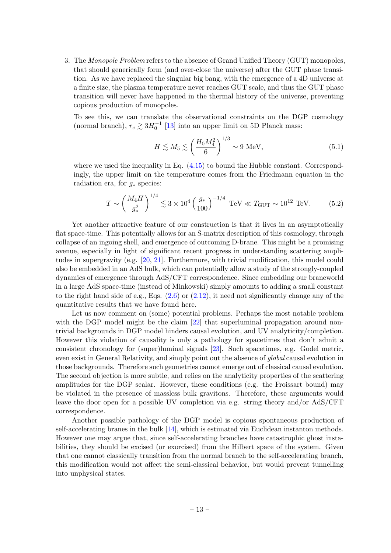3. The Monopole Problem refers to the absence of Grand Unified Theory (GUT) monopoles, that should generically form (and over-close the universe) after the GUT phase transition. As we have replaced the singular big bang, with the emergence of a 4D universe at a finite size, the plasma temperature never reaches GUT scale, and thus the GUT phase transition will never have happened in the thermal history of the universe, preventing copious production of monopoles.

To see this, we can translate the observational constraints on the DGP cosmology (normal branch),  $r_c \gtrsim 3H_0^{-1}$  [\[13\]](#page-15-8) into an upper limit on 5D Planck mass:

$$
H \lesssim M_5 \lesssim \left(\frac{H_0 M_4^2}{6}\right)^{1/3} \sim 9 \text{ MeV},\tag{5.1}
$$

where we used the inequality in Eq.  $(4.15)$  to bound the Hubble constant. Correspondingly, the upper limit on the temperature comes from the Friedmann equation in the radiation era, for  $q_*$  species:

$$
T \sim \left(\frac{M_4 H}{g_*^2}\right)^{1/4} \lesssim 3 \times 10^4 \left(\frac{g_*}{100}\right)^{-1/4} \text{ TeV} \ll T_{\text{GUT}} \sim 10^{12} \text{ TeV}.
$$
 (5.2)

Yet another attractive feature of our construction is that it lives in an asymptotically flat space-time. This potentially allows for an S-matrix description of this cosmology, through collapse of an ingoing shell, and emergence of outcoming D-brane. This might be a promising avenue, especially in light of significant recent progress in understanding scattering amplitudes in supergravity (e.g. [\[20,](#page-15-16) [21\]](#page-15-17). Furthermore, with trivial modification, this model could also be embedded in an AdS bulk, which can potentially allow a study of the strongly-coupled dynamics of emergence through AdS/CFT correspondence. Since embedding our braneworld in a large AdS space-time (instead of Minkowski) simply amounts to adding a small constant to the right hand side of e.g., Eqs.  $(2.6)$  or  $(2.12)$ , it need not significantly change any of the quantitative results that we have found here.

Let us now comment on (some) potential problems. Perhaps the most notable problem with the DGP model might be the claim [\[22\]](#page-15-18) that superluminal propagation around nontrivial backgrounds in DGP model hinders causal evolution, and UV analyticity/completion. However this violation of causality is only a pathology for spacetimes that don't admit a consistent chronology for (super)luminal signals [\[23\]](#page-15-19). Such spacetimes, e.g. Godel metric, even exist in General Relativity, and simply point out the absence of global causal evolution in those backgrounds. Therefore such geometries cannot emerge out of classical causal evolution. The second objection is more subtle, and relies on the analyticity properties of the scattering amplitudes for the DGP scalar. However, these conditions (e.g. the Froissart bound) may be violated in the presence of massless bulk gravitons. Therefore, these arguments would leave the door open for a possible UV completion via e.g. string theory and/or AdS/CFT correspondence.

Another possible pathology of the DGP model is copious spontaneous production of self-accelerating branes in the bulk [\[14\]](#page-15-9), which is estimated via Euclidean instanton methods. However one may argue that, since self-accelerating branches have catastrophic ghost instabilities, they should be excised (or exorcised) from the Hilbert space of the system. Given that one cannot classically transition from the normal branch to the self-accelerating branch, this modification would not affect the semi-classical behavior, but would prevent tunnelling into unphysical states.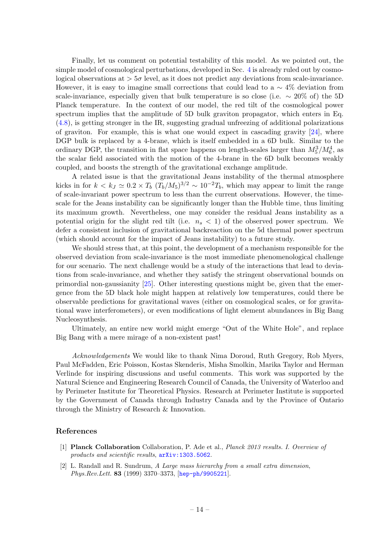Finally, let us comment on potential testability of this model. As we pointed out, the simple model of cosmological perturbations, developed in Sec. [4](#page-9-0) is already ruled out by cosmological observations at  $> 5\sigma$  level, as it does not predict any deviations from scale-invariance. However, it is easy to imagine small corrections that could lead to a  $\sim 4\%$  deviation from scale-invariance, especially given that bulk temperature is so close (i.e.  $\sim 20\%$  of) the 5D Planck temperature. In the context of our model, the red tilt of the cosmological power spectrum implies that the amplitude of 5D bulk graviton propagator, which enters in Eq. [\(4.8\)](#page-10-3), is getting stronger in the IR, suggesting gradual unfreezing of additional polarizations of graviton. For example, this is what one would expect in cascading gravity  $[24]$ , where DGP bulk is replaced by a 4-brane, which is itself embedded in a 6D bulk. Similar to the ordinary DGP, the transition in flat space happens on length-scales larger than  $M_5^3/M_6^4$ , as the scalar field associated with the motion of the 4-brane in the 6D bulk becomes weakly coupled, and boosts the strength of the gravitational exchange amplitude.

A related issue is that the gravitational Jeans instability of the thermal atmosphere kicks in for  $k < k_J \simeq 0.2 \times T_b (T_b/M_5)^{3/2} \sim 10^{-2} T_b$ , which may appear to limit the range of scale-invariant power spectrum to less than the current observations. However, the timescale for the Jeans instability can be significantly longer than the Hubble time, thus limiting its maximum growth. Nevertheless, one may consider the residual Jeans instability as a potential origin for the slight red tilt (i.e.  $n_s < 1$ ) of the observed power spectrum. We defer a consistent inclusion of gravitational backreaction on the 5d thermal power spectrum (which should account for the impact of Jeans instability) to a future study.

We should stress that, at this point, the development of a mechanism responsible for the observed deviation from scale-invariance is the most immediate phenomenological challenge for our scenario. The next challenge would be a study of the interactions that lead to deviations from scale-invariance, and whether they satisfy the stringent observational bounds on primordial non-gaussianity [\[25\]](#page-16-0). Other interesting questions might be, given that the emergence from the 5D black hole might happen at relatively low temperatures, could there be observable predictions for gravitational waves (either on cosmological scales, or for gravitational wave interferometers), or even modifications of light element abundances in Big Bang Nucleosynthesis.

Ultimately, an entire new world might emerge "Out of the White Hole", and replace Big Bang with a mere mirage of a non-existent past!

Acknowledgements We would like to thank Nima Doroud, Ruth Gregory, Rob Myers, Paul McFadden, Eric Poisson, Kostas Skenderis, Misha Smolkin, Marika Taylor and Herman Verlinde for inspiring discussions and useful comments. This work was supported by the Natural Science and Engineering Research Council of Canada, the University of Waterloo and by Perimeter Institute for Theoretical Physics. Research at Perimeter Institute is supported by the Government of Canada through Industry Canada and by the Province of Ontario through the Ministry of Research & Innovation.

# References

- <span id="page-14-0"></span>[1] Planck Collaboration Collaboration, P. Ade et al., Planck 2013 results. I. Overview of products and scientific results, [arXiv:1303.5062](http://xxx.lanl.gov/abs/1303.5062).
- <span id="page-14-1"></span>[2] L. Randall and R. Sundrum, A Large mass hierarchy from a small extra dimension, Phys.Rev.Lett. 83 (1999) 3370–3373, [[hep-ph/9905221](http://xxx.lanl.gov/abs/hep-ph/9905221)].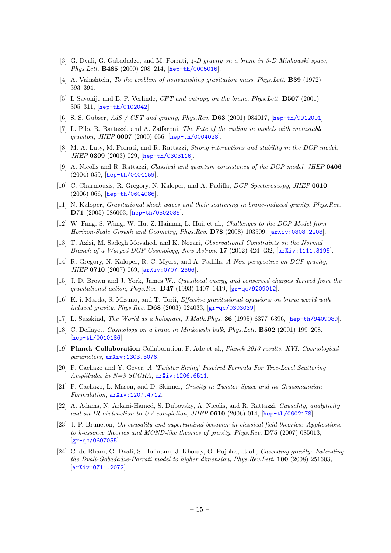- <span id="page-15-0"></span>[3] G. Dvali, G. Gabadadze, and M. Porrati, 4-D gravity on a brane in 5-D Minkowski space, Phys.Lett. B485 (2000) 208–214, [[hep-th/0005016](http://xxx.lanl.gov/abs/hep-th/0005016)].
- <span id="page-15-1"></span>[4] A. Vainshtein, To the problem of nonvanishing gravitation mass, Phys.Lett. B39 (1972) 393–394.
- <span id="page-15-2"></span>[5] I. Savonije and E. P. Verlinde, *CFT and entropy on the brane*, *Phys. Lett.* **B507** (2001) 305–311, [[hep-th/0102042](http://xxx.lanl.gov/abs/hep-th/0102042)].
- <span id="page-15-3"></span>[6] S. S. Gubser, AdS / CFT and gravity, Phys.Rev. D63 (2001) 084017, [[hep-th/9912001](http://xxx.lanl.gov/abs/hep-th/9912001)].
- <span id="page-15-4"></span>[7] L. Pilo, R. Rattazzi, and A. Zaffaroni, The Fate of the radion in models with metastable graviton, JHEP 0007 (2000) 056, [[hep-th/0004028](http://xxx.lanl.gov/abs/hep-th/0004028)].
- [8] M. A. Luty, M. Porrati, and R. Rattazzi, *Strong interactions and stability in the DGP model*, JHEP 0309 (2003) 029, [[hep-th/0303116](http://xxx.lanl.gov/abs/hep-th/0303116)].
- <span id="page-15-13"></span>[9] A. Nicolis and R. Rattazzi, Classical and quantum consistency of the DGP model, JHEP 0406 (2004) 059, [[hep-th/0404159](http://xxx.lanl.gov/abs/hep-th/0404159)].
- <span id="page-15-5"></span>[10] C. Charmousis, R. Gregory, N. Kaloper, and A. Padilla, DGP Specteroscopy, JHEP 0610 (2006) 066, [[hep-th/0604086](http://xxx.lanl.gov/abs/hep-th/0604086)].
- <span id="page-15-6"></span>[11] N. Kaloper, Gravitational shock waves and their scattering in brane-induced gravity, Phys.Rev. D71 (2005) 086003, [[hep-th/0502035](http://xxx.lanl.gov/abs/hep-th/0502035)].
- <span id="page-15-7"></span>[12] W. Fang, S. Wang, W. Hu, Z. Haiman, L. Hui, et al., Challenges to the DGP Model from Horizon-Scale Growth and Geometry, Phys.Rev. D78 (2008) 103509, [[arXiv:0808.2208](http://xxx.lanl.gov/abs/0808.2208)].
- <span id="page-15-8"></span>[13] T. Azizi, M. Sadegh Movahed, and K. Nozari, Observational Constraints on the Normal Branch of a Warped DGP Cosmology, New Astron. 17 (2012) 424–432, [[arXiv:1111.3195](http://xxx.lanl.gov/abs/1111.3195)].
- <span id="page-15-9"></span>[14] R. Gregory, N. Kaloper, R. C. Myers, and A. Padilla, A New perspective on DGP gravity, JHEP 0710 (2007) 069, [arXiv: 0707.2666].
- <span id="page-15-10"></span>[15] J. D. Brown and J. York, James W., *Quasilocal energy and conserved charges derived from the* qravitational action, Phys. Rev.  $\mathbf{D47}$  (1993) 1407–1419,  $\boxed{\mathbf{gr-qc/9209012}}$  $\boxed{\mathbf{gr-qc/9209012}}$  $\boxed{\mathbf{gr-qc/9209012}}$ .
- <span id="page-15-11"></span>[16] K.-i. Maeda, S. Mizuno, and T. Torii, Effective gravitational equations on brane world with induced gravity, Phys.Rev. D68 (2003) 024033, [[gr-qc/0303039](http://xxx.lanl.gov/abs/gr-qc/0303039)].
- <span id="page-15-12"></span>[17] L. Susskind, The World as a hologram, J.Math.Phys. 36 (1995) 6377–6396, [[hep-th/9409089](http://xxx.lanl.gov/abs/hep-th/9409089)].
- <span id="page-15-14"></span>[18] C. Deffayet, Cosmology on a brane in Minkowski bulk, Phys.Lett. B502 (2001) 199–208, [[hep-th/0010186](http://xxx.lanl.gov/abs/hep-th/0010186)].
- <span id="page-15-15"></span>[19] Planck Collaboration Collaboration, P. Ade et al., Planck 2013 results. XVI. Cosmological parameters, [arXiv:1303.5076](http://xxx.lanl.gov/abs/1303.5076).
- <span id="page-15-16"></span>[20] F. Cachazo and Y. Geyer, A 'Twistor String' Inspired Formula For Tree-Level Scattering Amplitudes in  $N=8$  SUGRA,  $arXiv:1206.6511$ .
- <span id="page-15-17"></span>[21] F. Cachazo, L. Mason, and D. Skinner, Gravity in Twistor Space and its Grassmannian Formulation, [arXiv:1207.4712](http://xxx.lanl.gov/abs/1207.4712).
- <span id="page-15-18"></span>[22] A. Adams, N. Arkani-Hamed, S. Dubovsky, A. Nicolis, and R. Rattazzi, Causality, analyticity and an IR obstruction to UV completion, JHEP 0610 (2006) 014, [[hep-th/0602178](http://xxx.lanl.gov/abs/hep-th/0602178)].
- <span id="page-15-19"></span>[23] J.-P. Bruneton, On causality and superluminal behavior in classical field theories: Applications to k-essence theories and MOND-like theories of gravity, Phys.Rev. D75 (2007) 085013, [[gr-qc/0607055](http://xxx.lanl.gov/abs/gr-qc/0607055)].
- <span id="page-15-20"></span>[24] C. de Rham, G. Dvali, S. Hofmann, J. Khoury, O. Pujolas, et al., Cascading gravity: Extending the Dvali-Gabadadze-Porrati model to higher dimension, Phys.Rev.Lett. 100 (2008) 251603, [[arXiv:0711.2072](http://xxx.lanl.gov/abs/0711.2072)].